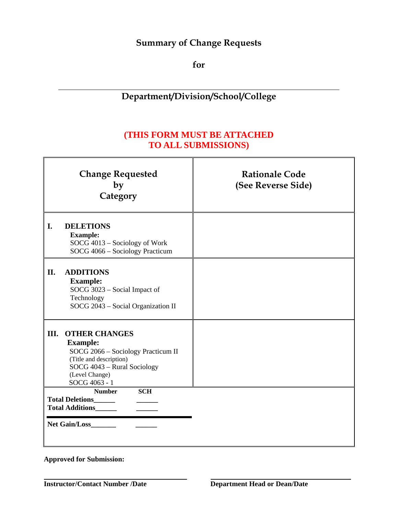## **Summary of Change Requests**

**for** 

# **Department/Division/School/College**

## **(THIS FORM MUST BE ATTACHED TO ALL SUBMISSIONS)**

|                                                                                                         | <b>Change Requested</b><br>by<br>Category                                                                                                                                  | <b>Rationale Code</b><br>(See Reverse Side) |
|---------------------------------------------------------------------------------------------------------|----------------------------------------------------------------------------------------------------------------------------------------------------------------------------|---------------------------------------------|
| I.                                                                                                      | <b>DELETIONS</b><br><b>Example:</b><br>SOCG 4013 - Sociology of Work<br>SOCG 4066 - Sociology Practicum                                                                    |                                             |
| II.                                                                                                     | <b>ADDITIONS</b><br><b>Example:</b><br>SOCG 3023 - Social Impact of<br>Technology<br>SOCG 2043 - Social Organization II                                                    |                                             |
| III.                                                                                                    | <b>OTHER CHANGES</b><br><b>Example:</b><br>SOCG 2066 - Sociology Practicum II<br>(Title and description)<br>SOCG 4043 - Rural Sociology<br>(Level Change)<br>SOCG 4063 - 1 |                                             |
| <b>Number</b><br><b>SCH</b><br><b>Total Deletions</b><br><b>Total Additions</b><br><b>Net Gain/Loss</b> |                                                                                                                                                                            |                                             |

**Approved for Submission:**